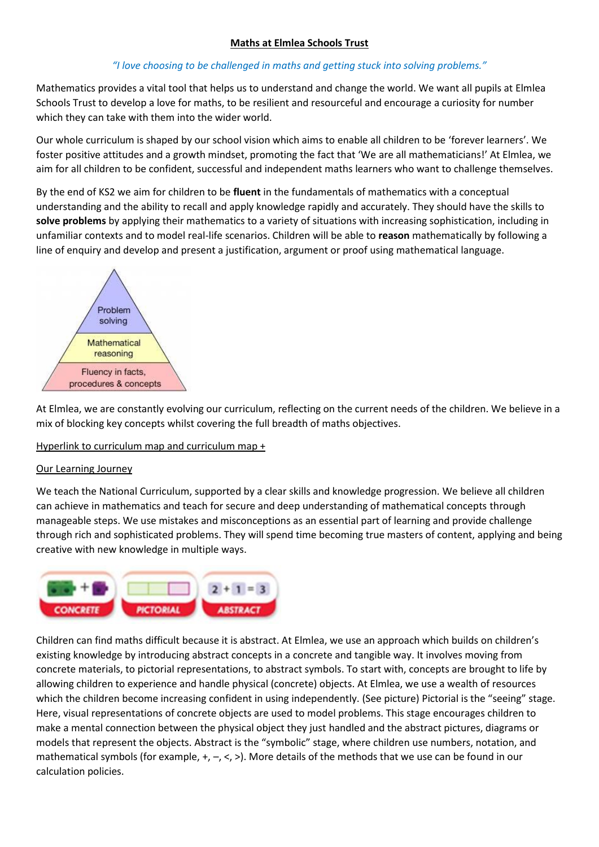## **Maths at Elmlea Schools Trust**

## *"I love choosing to be challenged in maths and getting stuck into solving problems."*

Mathematics provides a vital tool that helps us to understand and change the world. We want all pupils at Elmlea Schools Trust to develop a love for maths, to be resilient and resourceful and encourage a curiosity for number which they can take with them into the wider world.

Our whole curriculum is shaped by our school vision which aims to enable all children to be 'forever learners'. We foster positive attitudes and a growth mindset, promoting the fact that 'We are all mathematicians!' At Elmlea, we aim for all children to be confident, successful and independent maths learners who want to challenge themselves.

By the end of KS2 we aim for children to be **fluent** in the fundamentals of mathematics with a conceptual understanding and the ability to recall and apply knowledge rapidly and accurately. They should have the skills to **solve problems** by applying their mathematics to a variety of situations with increasing sophistication, including in unfamiliar contexts and to model real-life scenarios. Children will be able to **reason** mathematically by following a line of enquiry and develop and present a justification, argument or proof using mathematical language.



At Elmlea, we are constantly evolving our curriculum, reflecting on the current needs of the children. We believe in a mix of blocking key concepts whilst covering the full breadth of maths objectives.

### Hyperlink to curriculum map and curriculum map +

#### Our Learning Journey

We teach the National Curriculum, supported by a clear skills and knowledge progression. We believe all children can achieve in mathematics and teach for secure and deep understanding of mathematical concepts through manageable steps. We use mistakes and misconceptions as an essential part of learning and provide challenge through rich and sophisticated problems. They will spend time becoming true masters of content, applying and being creative with new knowledge in multiple ways.



Children can find maths difficult because it is abstract. At Elmlea, we use an approach which builds on children's existing knowledge by introducing abstract concepts in a concrete and tangible way. It involves moving from concrete materials, to pictorial representations, to abstract symbols. To start with, concepts are brought to life by allowing children to experience and handle physical (concrete) objects. At Elmlea, we use a wealth of resources which the children become increasing confident in using independently. (See picture) Pictorial is the "seeing" stage. Here, visual representations of concrete objects are used to model problems. This stage encourages children to make a mental connection between the physical object they just handled and the abstract pictures, diagrams or models that represent the objects. Abstract is the "symbolic" stage, where children use numbers, notation, and mathematical symbols (for example, +, –, <, >). More details of the methods that we use can be found in our calculation policies.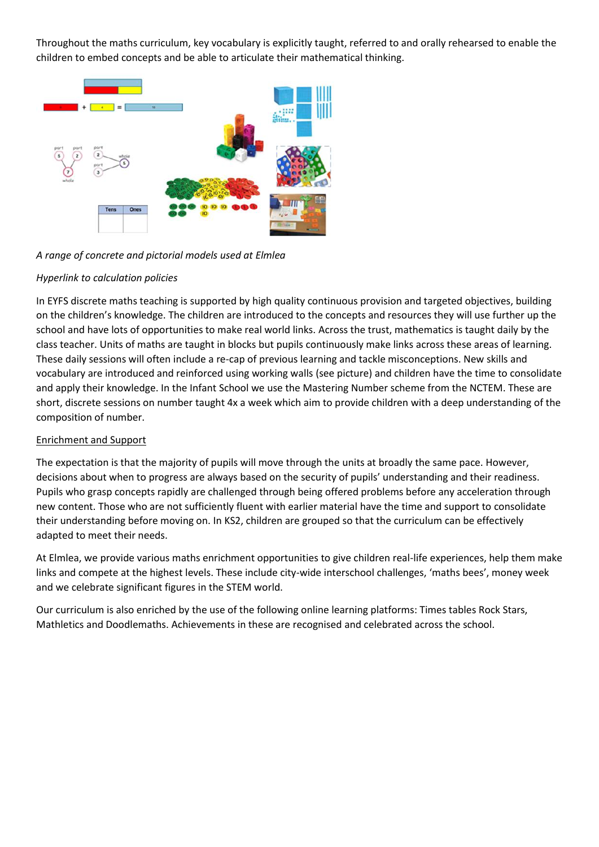Throughout the maths curriculum, key vocabulary is explicitly taught, referred to and orally rehearsed to enable the children to embed concepts and be able to articulate their mathematical thinking.



*A range of concrete and pictorial models used at Elmlea*

# *Hyperlink to calculation policies*

In EYFS discrete maths teaching is supported by high quality continuous provision and targeted objectives, building on the children's knowledge. The children are introduced to the concepts and resources they will use further up the school and have lots of opportunities to make real world links. Across the trust, mathematics is taught daily by the class teacher. Units of maths are taught in blocks but pupils continuously make links across these areas of learning. These daily sessions will often include a re-cap of previous learning and tackle misconceptions. New skills and vocabulary are introduced and reinforced using working walls (see picture) and children have the time to consolidate and apply their knowledge. In the Infant School we use the Mastering Number scheme from the NCTEM. These are short, discrete sessions on number taught 4x a week which aim to provide children with a deep understanding of the composition of number.

# Enrichment and Support

The expectation is that the majority of pupils will move through the units at broadly the same pace. However, decisions about when to progress are always based on the security of pupils' understanding and their readiness. Pupils who grasp concepts rapidly are challenged through being offered problems before any acceleration through new content. Those who are not sufficiently fluent with earlier material have the time and support to consolidate their understanding before moving on. In KS2, children are grouped so that the curriculum can be effectively adapted to meet their needs.

At Elmlea, we provide various maths enrichment opportunities to give children real-life experiences, help them make links and compete at the highest levels. These include city-wide interschool challenges, 'maths bees', money week and we celebrate significant figures in the STEM world.

Our curriculum is also enriched by the use of the following online learning platforms: Times tables Rock Stars, Mathletics and Doodlemaths. Achievements in these are recognised and celebrated across the school.